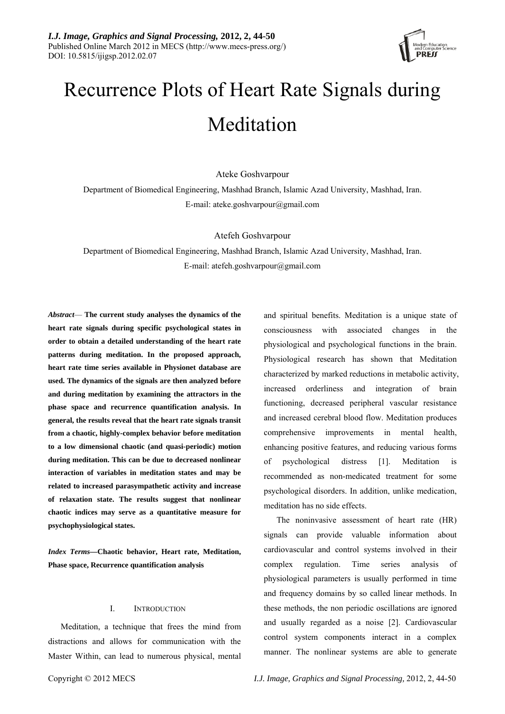

# Recurrence Plots of Heart Rate Signals during Meditation

Ateke Goshvarpour

Department of Biomedical Engineering, Mashhad Branch, Islamic Azad University, Mashhad, Iran. E-mail: ateke.goshvarpour@gmail.com

Atefeh Goshvarpour

Department of Biomedical Engineering, Mashhad Branch, Islamic Azad University, Mashhad, Iran. E-mail: atefeh.goshvarpour@gmail.com

*Abstract*— **The current study analyses the dynamics of the heart rate signals during specific psychological states in order to obtain a detailed understanding of the heart rate patterns during meditation. In the proposed approach, heart rate time series available in Physionet database are used. The dynamics of the signals are then analyzed before and during meditation by examining the attractors in the phase space and recurrence quantification analysis. In general, the results reveal that the heart rate signals transit from a chaotic, highly-complex behavior before meditation to a low dimensional chaotic (and quasi-periodic) motion during meditation. This can be due to decreased nonlinear interaction of variables in meditation states and may be related to increased parasympathetic activity and increase of relaxation state. The results suggest that nonlinear chaotic indices may serve as a quantitative measure for psychophysiological states.** 

*Index Terms—***Chaotic behavior, Heart rate, Meditation, Phase space, Recurrence quantification analysis** 

### I. INTRODUCTION

Meditation, a technique that frees the mind from distractions and allows for communication with the Master Within, can lead to numerous physical, mental and spiritual benefits. Meditation is a unique state of consciousness with associated changes in the physiological and psychological functions in the brain. Physiological research has shown that Meditation characterized by marked reductions in metabolic activity, increased orderliness and integration of brain functioning, decreased peripheral vascular resistance and increased cerebral blood flow. Meditation produces comprehensive improvements in mental health, enhancing positive features, and reducing various forms of psychological distress [1]. Meditation is recommended as non-medicated treatment for some psychological disorders. In addition, unlike medication, meditation has no side effects.

The noninvasive assessment of heart rate (HR) signals can provide valuable information about cardiovascular and control systems involved in their complex regulation. Time series analysis of physiological parameters is usually performed in time and frequency domains by so called linear methods. In these methods, the non periodic oscillations are ignored and usually regarded as a noise [2]. Cardiovascular control system components interact in a complex manner. The nonlinear systems are able to generate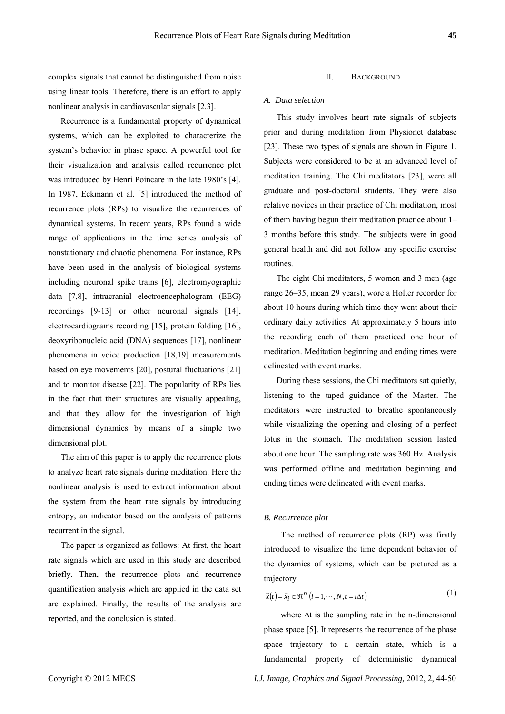complex signals that cannot be distinguished from noise II. BACKGROUND using linear tools. Therefore, there is an effort to apply nonlinear analysis in cardiovascular signals [2,3].

Recurrence is a fundamental property of dynamical systems, which can be exploited to characterize the system's behavior in phase space. A powerful tool for their visualization and analysis called recurrence plot was introduced by Henri Poincare in the late 1980's [4]. In 1987, Eckmann et al. [5] introduced the method of recurrence plots (RPs) to visualize the recurrences of dynamical systems. In recent years, RPs found a wide range of applications in the time series analysis of nonstationary and chaotic phenomena. For instance, RPs have been used in the analysis of biological systems including neuronal spike trains [6], electromyographic data [7,8], intracranial electroencephalogram (EEG) recordings [9-13] or other neuronal signals [14], electrocardiograms recording [15], protein folding [16], deoxyribonucleic acid (DNA) sequences [17], nonlinear phenomena in voice production [18,19] measurements based on eye movements [20], postural fluctuations [21] and to monitor disease [22]. The popularity of RPs lies in the fact that their structures are visually appealing, and that they allow for the investigation of high dimensional dynamics by means of a simple two dimensional plot.

The aim of this paper is to apply the recurrence plots to analyze heart rate signals during meditation. Here the nonlinear analysis is used to extract information about the system from the heart rate signals by introducing entropy, an indicator based on the analysis of patterns recurrent in the signal.

The paper is organized as follows: At first, the heart rate signals which are used in this study are described briefly. Then, the recurrence plots and recurrence quantification analysis which are applied in the data set are explained. Finally, the results of the analysis are reported, and the conclusion is stated.

#### *A. Data selection*

This study involves heart rate signals of subjects prior and during meditation from Physionet database [23]. These two types of signals are shown in Figure 1. Subjects were considered to be at an advanced level of meditation training. The Chi meditators [23], were all graduate and post-doctoral students. They were also relative novices in their practice of Chi meditation, most of them having begun their meditation practice about 1– 3 months before this study. The subjects were in good general health and did not follow any specific exercise routines.

The eight Chi meditators, 5 women and 3 men (age range 26–35, mean 29 years), wore a Holter recorder for about 10 hours during which time they went about their ordinary daily activities. At approximately 5 hours into the recording each of them practiced one hour of meditation. Meditation beginning and ending times were delineated with event marks.

During these sessions, the Chi meditators sat quietly, listening to the taped guidance of the Master. The meditators were instructed to breathe spontaneously while visualizing the opening and closing of a perfect lotus in the stomach. The meditation session lasted about one hour. The sampling rate was 360 Hz. Analysis was performed offline and meditation beginning and ending times were delineated with event marks.

#### *B. Recurrence plot*

The method of recurrence plots (RP) was firstly introduced to visualize the time dependent behavior of the dynamics of systems, which can be pictured as a trajectory

$$
\vec{x}(t) = \vec{x}_i \in \mathfrak{R}^n \ (i = 1, \cdots, N, t = i\Delta t)
$$
 (1)

where  $\Delta t$  is the sampling rate in the n-dimensional phase space [5]. It represents the recurrence of the phase space trajectory to a certain state, which is a fundamental property of deterministic dynamical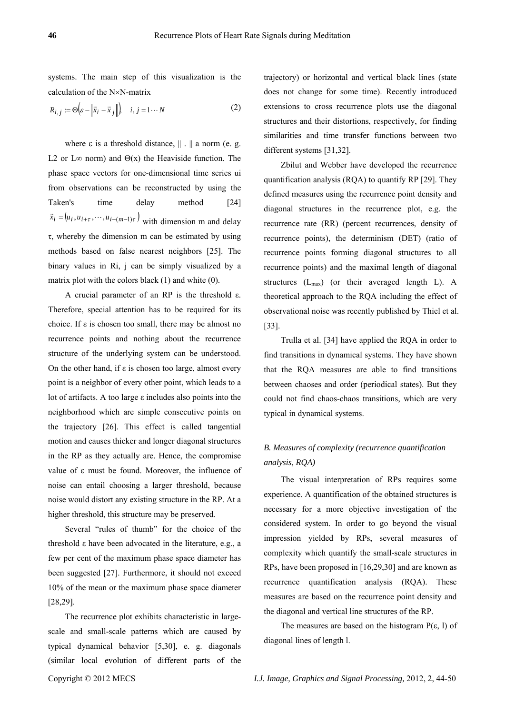systems. The main step of this visualization is the calculation of the N×N-matrix

$$
R_{i,j} := \Theta \bigg( \varepsilon - \bigg| \vec{x}_i - \vec{x}_j \bigg| \bigg), \quad i, j = 1 \cdots N \tag{2}
$$

where  $\varepsilon$  is a threshold distance,  $|| \cdot ||$  a norm (e. g. L2 or L∞ norm) and  $\Theta(x)$  the Heaviside function. The phase space vectors for one-dimensional time series ui from observations can be reconstructed by using the Taken's time delay method [24]  $\vec{x}_i = (u_i, u_{i+\tau}, \dots, u_{i+(m-1)\tau})$  with dimension m and delay τ, whereby the dimension m can be estimated by using methods based on false nearest neighbors [25]. The binary values in Ri, j can be simply visualized by a matrix plot with the colors black (1) and white (0).

A crucial parameter of an RP is the threshold ε. Therefore, special attention has to be required for its choice. If  $\varepsilon$  is chosen too small, there may be almost no recurrence points and nothing about the recurrence structure of the underlying system can be understood. On the other hand, if  $\varepsilon$  is chosen too large, almost every point is a neighbor of every other point, which leads to a lot of artifacts. A too large ε includes also points into the neighborhood which are simple consecutive points on the trajectory [26]. This effect is called tangential motion and causes thicker and longer diagonal structures in the RP as they actually are. Hence, the compromise value of ε must be found. Moreover, the influence of noise can entail choosing a larger threshold, because noise would distort any existing structure in the RP. At a higher threshold, this structure may be preserved.

Several "rules of thumb" for the choice of the threshold ε have been advocated in the literature, e.g., a few per cent of the maximum phase space diameter has been suggested [27]. Furthermore, it should not exceed 10% of the mean or the maximum phase space diameter [28,29].

The recurrence plot exhibits characteristic in largescale and small-scale patterns which are caused by typical dynamical behavior [5,30], e. g. diagonals (similar local evolution of different parts of the trajectory) or horizontal and vertical black lines (state does not change for some time). Recently introduced extensions to cross recurrence plots use the diagonal structures and their distortions, respectively, for finding similarities and time transfer functions between two different systems [31,32].

Zbilut and Webber have developed the recurrence quantification analysis (RQA) to quantify RP [29]. They defined measures using the recurrence point density and diagonal structures in the recurrence plot, e.g. the recurrence rate (RR) (percent recurrences, density of recurrence points), the determinism (DET) (ratio of recurrence points forming diagonal structures to all recurrence points) and the maximal length of diagonal structures  $(L_{max})$  (or their averaged length L). A theoretical approach to the RQA including the effect of observational noise was recently published by Thiel et al. [33].

Trulla et al. [34] have applied the RQA in order to find transitions in dynamical systems. They have shown that the RQA measures are able to find transitions between chaoses and order (periodical states). But they could not find chaos-chaos transitions, which are very typical in dynamical systems.

## *B. Measures of complexity (recurrence quantification analysis, RQA)*

The visual interpretation of RPs requires some experience. A quantification of the obtained structures is necessary for a more objective investigation of the considered system. In order to go beyond the visual impression yielded by RPs, several measures of complexity which quantify the small-scale structures in RPs, have been proposed in [16,29,30] and are known as recurrence quantification analysis (RQA). These measures are based on the recurrence point density and the diagonal and vertical line structures of the RP.

The measures are based on the histogram  $P(\varepsilon, 1)$  of diagonal lines of length l.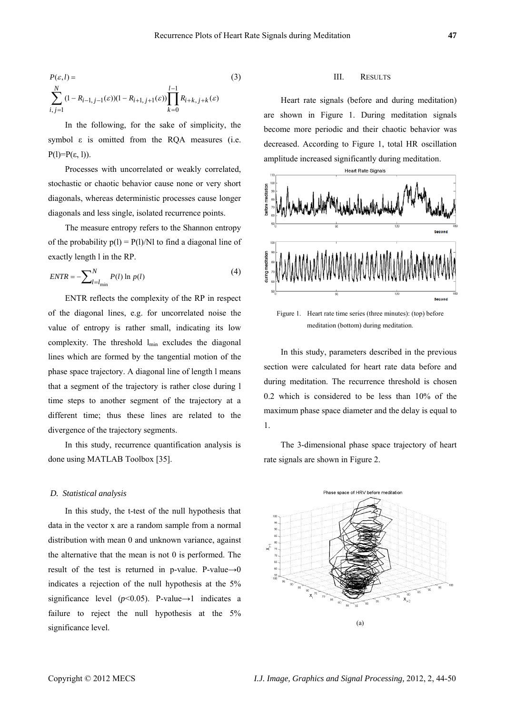$$
P(\varepsilon, l) = \sum_{i,j=1}^{N} (1 - R_{i-1, j-1}(\varepsilon))(1 - R_{i+1, j+1}(\varepsilon)) \prod_{k=0}^{l-1} R_{i+k, j+k}(\varepsilon)
$$
(3)

In the following, for the sake of simplicity, the symbol  $\varepsilon$  is omitted from the RQA measures (i.e. P(l)= $P(\varepsilon, 1)$ ).

Processes with uncorrelated or weakly correlated, stochastic or chaotic behavior cause none or very short diagonals, whereas deterministic processes cause longer diagonals and less single, isolated recurrence points.

The measure entropy refers to the Shannon entropy of the probability  $p(1) = P(1)/N1$  to find a diagonal line of exactly length l in the RP.

$$
ENTER = -\sum_{l=l_{\min}}^{N} P(l) \ln p(l) \tag{4}
$$

ENTR reflects the complexity of the RP in respect of the diagonal lines, e.g. for uncorrelated noise the value of entropy is rather small, indicating its low complexity. The threshold  $l_{\min}$  excludes the diagonal lines which are formed by the tangential motion of the phase space trajectory. A diagonal line of length l means that a segment of the trajectory is rather close during l time steps to another segment of the trajectory at a different time; thus these lines are related to the divergence of the trajectory segments.

In this study, recurrence quantification analysis is done using MATLAB Toolbox [35].

#### *D. Statistical analysis*

In this study, the t-test of the null hypothesis that data in the vector x are a random sample from a normal distribution with mean 0 and unknown variance, against the alternative that the mean is not 0 is performed. The result of the test is returned in p-value. P-value $\rightarrow$ 0 indicates a rejection of the null hypothesis at the 5% significance level ( $p$ <0.05). P-value→1 indicates a failure to reject the null hypothesis at the  $5\%$ significance level.

#### III. RESULTS

Heart rate signals (before and during meditation) are shown in Figure 1. During meditation signals become more periodic and their chaotic behavior was decreased. According to Figure 1, total HR oscillation amplitude increased significantly during meditation.



Figure 1. Heart rate time series (three minutes): (top) before meditation (bottom) during meditation.

In this study, parameters described in the previous section were calculated for heart rate data before and during meditation. The recurrence threshold is chosen 0.2 which is considered to be less than 10% of the maximum phase space diameter and the delay is equal to 1.

The 3-dimensional phase space trajectory of heart rate signals are shown in Figure 2.

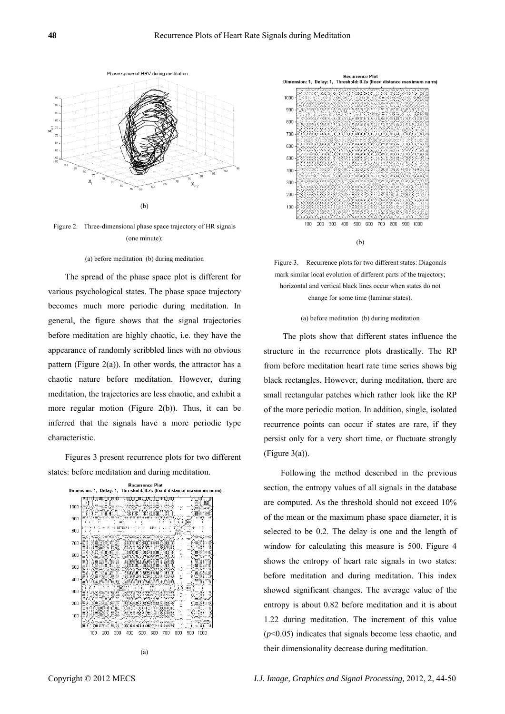

Figure 2. Three-dimensional phase space trajectory of HR signals (one minute):

#### (a) before meditation (b) during meditation

The spread of the phase space plot is different for various psychological states. The phase space trajectory becomes much more periodic during meditation. In general, the figure shows that the signal trajectories before meditation are highly chaotic, i.e. they have the appearance of randomly scribbled lines with no obvious pattern (Figure 2(a)). In other words, the attractor has a chaotic nature before meditation. However, during meditation, the trajectories are less chaotic, and exhibit a more regular motion (Figure 2(b)). Thus, it can be inferred that the signals have a more periodic type characteristic.

Figures 3 present recurrence plots for two different states: before meditation and during meditation.





Figure 3. Recurrence plots for two different states: Diagonals mark similar local evolution of different parts of the trajectory; horizontal and vertical black lines occur when states do not change for some time (laminar states).

#### (a) before meditation (b) during meditation

 The plots show that different states influence the structure in the recurrence plots drastically. The RP from before meditation heart rate time series shows big black rectangles. However, during meditation, there are small rectangular patches which rather look like the RP of the more periodic motion. In addition, single, isolated recurrence points can occur if states are rare, if they persist only for a very short time, or fluctuate strongly (Figure 3(a)).

Following the method described in the previous section, the entropy values of all signals in the database are computed. As the threshold should not exceed 10% of the mean or the maximum phase space diameter, it is selected to be 0.2. The delay is one and the length of window for calculating this measure is 500. Figure 4 shows the entropy of heart rate signals in two states: before meditation and during meditation. This index showed significant changes. The average value of the entropy is about 0.82 before meditation and it is about 1.22 during meditation. The increment of this value (*p*<0.05) indicates that signals become less chaotic, and their dimensionality decrease during meditation.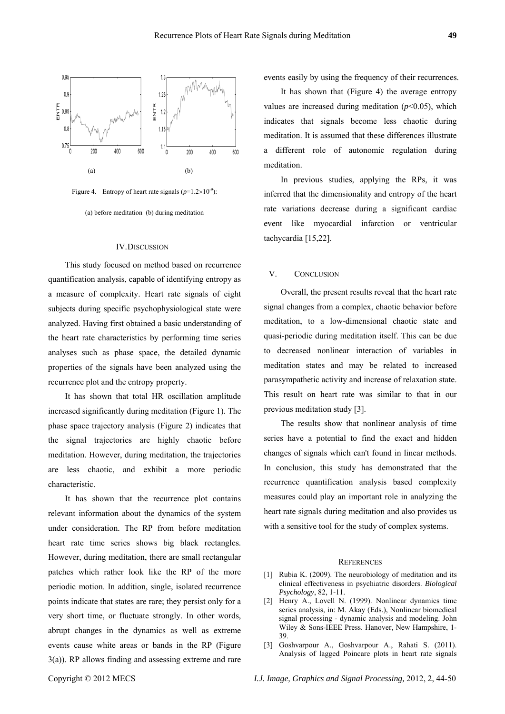



(a) before meditation (b) during meditation

#### IV.DISCUSSION

This study focused on method based on recurrence quantification analysis, capable of identifying entropy as a measure of complexity. Heart rate signals of eight subjects during specific psychophysiological state were analyzed. Having first obtained a basic understanding of the heart rate characteristics by performing time series analyses such as phase space, the detailed dynamic properties of the signals have been analyzed using the recurrence plot and the entropy property.

It has shown that total HR oscillation amplitude increased significantly during meditation (Figure 1). The phase space trajectory analysis (Figure 2) indicates that the signal trajectories are highly chaotic before meditation. However, during meditation, the trajectories are less chaotic, and exhibit a more periodic characteristic.

It has shown that the recurrence plot contains relevant information about the dynamics of the system under consideration. The RP from before meditation heart rate time series shows big black rectangles. However, during meditation, there are small rectangular patches which rather look like the RP of the more periodic motion. In addition, single, isolated recurrence points indicate that states are rare; they persist only for a very short time, or fluctuate strongly. In other words, abrupt changes in the dynamics as well as extreme events cause white areas or bands in the RP (Figure 3(a)). RP allows finding and assessing extreme and rare

In previous studies, applying the RPs, it was

meditation.

inferred that the dimensionality and entropy of the heart rate variations decrease during a significant cardiac event like myocardial infarction or ventricular tachycardia [15,22].

events easily by using the frequency of their recurrences. It has shown that (Figure 4) the average entropy values are increased during meditation  $(p<0.05)$ , which indicates that signals become less chaotic during meditation. It is assumed that these differences illustrate a different role of autonomic regulation during

#### V. CONCLUSION

Overall, the present results reveal that the heart rate signal changes from a complex, chaotic behavior before meditation, to a low-dimensional chaotic state and quasi-periodic during meditation itself. This can be due to decreased nonlinear interaction of variables in meditation states and may be related to increased parasympathetic activity and increase of relaxation state. This result on heart rate was similar to that in our previous meditation study [3].

The results show that nonlinear analysis of time series have a potential to find the exact and hidden changes of signals which can't found in linear methods. In conclusion, this study has demonstrated that the recurrence quantification analysis based complexity measures could play an important role in analyzing the heart rate signals during meditation and also provides us with a sensitive tool for the study of complex systems.

#### **REFERENCES**

- [1] Rubia K. (2009). The neurobiology of meditation and its clinical effectiveness in psychiatric disorders. *Biological Psychology*, 82, 1-11.
- [2] Henry A., Lovell N. (1999). Nonlinear dynamics time series analysis, in: M. Akay (Eds.), Nonlinear biomedical signal processing - dynamic analysis and modeling. John Wiley & Sons-IEEE Press. Hanover, New Hampshire, 1- 39.
- [3] Goshvarpour A., Goshvarpour A., Rahati S. (2011). Analysis of lagged Poincare plots in heart rate signals